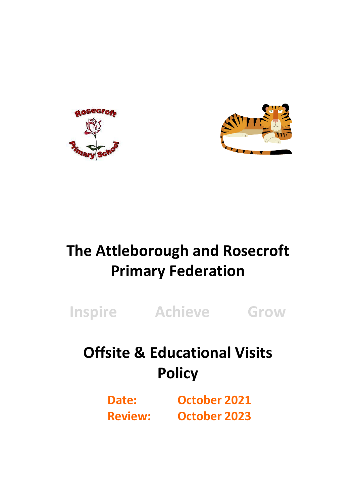



# **The Attleborough and Rosecroft Primary Federation**

**Inspire Achieve Grow**

## **Offsite & Educational Visits Policy**

**Date: October 2021 Review: October 2023**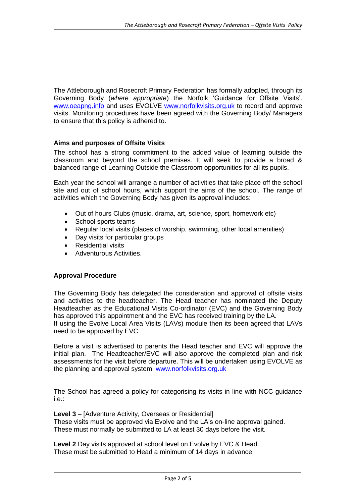The Attleborough and Rosecroft Primary Federation has formally adopted, through its Governing Body (*where appropriate*) the Norfolk 'Guidance for Offsite Visits'. [www.oeapng.info](http://www.oeapng.info/) and uses EVOLVE [www.norfolkvisits.org.uk](http://www.norfolkvisits.org.uk/) to record and approve visits. Monitoring procedures have been agreed with the Governing Body/ Managers to ensure that this policy is adhered to.

## **Aims and purposes of Offsite Visits**

The school has a strong commitment to the added value of learning outside the classroom and beyond the school premises. It will seek to provide a broad & balanced range of Learning Outside the Classroom opportunities for all its pupils.

Each year the school will arrange a number of activities that take place off the school site and out of school hours, which support the aims of the school. The range of activities which the Governing Body has given its approval includes:

- Out of hours Clubs (music, drama, art, science, sport, homework etc)
- School sports teams
- Regular local visits (places of worship, swimming, other local amenities)
- Day visits for particular groups
- Residential visits
- Adventurous Activities.

## **Approval Procedure**

The Governing Body has delegated the consideration and approval of offsite visits and activities to the headteacher. The Head teacher has nominated the Deputy Headteacher as the Educational Visits Co-ordinator (EVC) and the Governing Body has approved this appointment and the EVC has received training by the LA. If using the Evolve Local Area Visits (LAVs) module then its been agreed that LAVs need to be approved by EVC.

Before a visit is advertised to parents the Head teacher and EVC will approve the initial plan. The Headteacher/EVC will also approve the completed plan and risk assessments for the visit before departure. This will be undertaken using EVOLVE as the planning and approval system. [www.norfolkvisits.org.uk](http://www.norfolkvisits.org.uk/)

The School has agreed a policy for categorising its visits in line with NCC guidance i.e.:

**Level 3** – [Adventure Activity, Overseas or Residential] These visits must be approved via Evolve and the LA's on-line approval gained. These must normally be submitted to LA at least 30 days before the visit.

**Level 2** Day visits approved at school level on Evolve by EVC & Head. These must be submitted to Head a minimum of 14 days in advance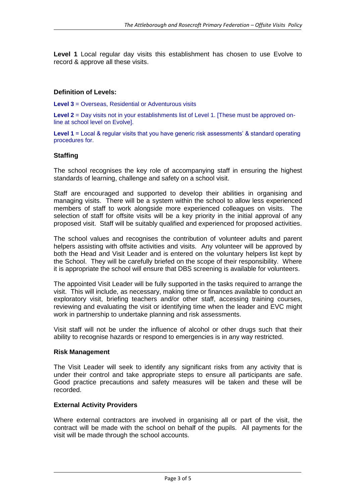**Level 1** Local regular day visits this establishment has chosen to use Evolve to record & approve all these visits.

#### **Definition of Levels:**

**Level 3** = Overseas, Residential or Adventurous visits

**Level 2** = Day visits not in your establishments list of Level 1. [These must be approved online at school level on Evolve].

**Level 1** = Local & regular visits that you have generic risk assessments' & standard operating procedures for.

#### **Staffing**

The school recognises the key role of accompanying staff in ensuring the highest standards of learning, challenge and safety on a school visit.

Staff are encouraged and supported to develop their abilities in organising and managing visits. There will be a system within the school to allow less experienced members of staff to work alongside more experienced colleagues on visits. The selection of staff for offsite visits will be a key priority in the initial approval of any proposed visit. Staff will be suitably qualified and experienced for proposed activities.

The school values and recognises the contribution of volunteer adults and parent helpers assisting with offsite activities and visits. Any volunteer will be approved by both the Head and Visit Leader and is entered on the voluntary helpers list kept by the School. They will be carefully briefed on the scope of their responsibility. Where it is appropriate the school will ensure that DBS screening is available for volunteers.

The appointed Visit Leader will be fully supported in the tasks required to arrange the visit. This will include, as necessary, making time or finances available to conduct an exploratory visit, briefing teachers and/or other staff, accessing training courses, reviewing and evaluating the visit or identifying time when the leader and EVC might work in partnership to undertake planning and risk assessments.

Visit staff will not be under the influence of alcohol or other drugs such that their ability to recognise hazards or respond to emergencies is in any way restricted.

#### **Risk Management**

The Visit Leader will seek to identify any significant risks from any activity that is under their control and take appropriate steps to ensure all participants are safe. Good practice precautions and safety measures will be taken and these will be recorded.

#### **External Activity Providers**

Where external contractors are involved in organising all or part of the visit, the contract will be made with the school on behalf of the pupils. All payments for the visit will be made through the school accounts.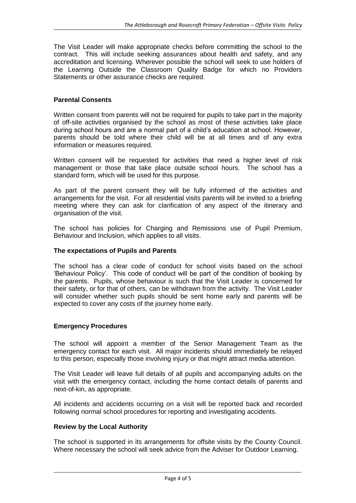The Visit Leader will make appropriate checks before committing the school to the contract. This will include seeking assurances about health and safety, and any accreditation and licensing. Wherever possible the school will seek to use holders of the Learning Outside the Classroom Quality Badge for which no Providers Statements or other assurance checks are required.

#### **Parental Consents**

Written consent from parents will not be required for pupils to take part in the majority of off-site activities organised by the school as most of these activities take place during school hours and are a normal part of a child's education at school. However, parents should be told where their child will be at all times and of any extra information or measures required.

Written consent will be requested for activities that need a higher level of risk management or those that take place outside school hours. The school has a standard form, which will be used for this purpose.

As part of the parent consent they will be fully informed of the activities and arrangements for the visit. For all residential visits parents will be invited to a briefing meeting where they can ask for clarification of any aspect of the itinerary and organisation of the visit.

The school has policies for Charging and Remissions use of Pupil Premium, Behaviour and Inclusion, which applies to all visits.

#### **The expectations of Pupils and Parents**

The school has a clear code of conduct for school visits based on the school 'Behaviour Policy'. This code of conduct will be part of the condition of booking by the parents. Pupils, whose behaviour is such that the Visit Leader is concerned for their safety, or for that of others, can be withdrawn from the activity. The Visit Leader will consider whether such pupils should be sent home early and parents will be expected to cover any costs of the journey home early.

#### **Emergency Procedures**

The school will appoint a member of the Senior Management Team as the emergency contact for each visit. All major incidents should immediately be relayed to this person, especially those involving injury or that might attract media attention.

The Visit Leader will leave full details of all pupils and accompanying adults on the visit with the emergency contact, including the home contact details of parents and next-of-kin, as appropriate.

All incidents and accidents occurring on a visit will be reported back and recorded following normal school procedures for reporting and investigating accidents.

#### **Review by the Local Authority**

The school is supported in its arrangements for offsite visits by the County Council. Where necessary the school will seek advice from the Adviser for Outdoor Learning.